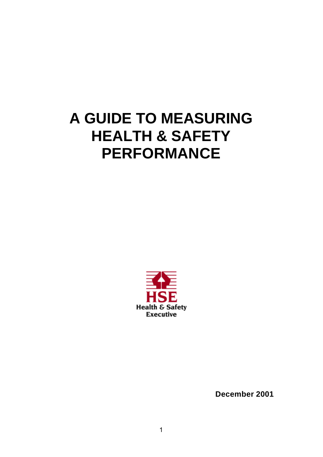# **A GUIDE TO MEASURING HEALTH & SAFETY PERFORMANCE**



**December 2001**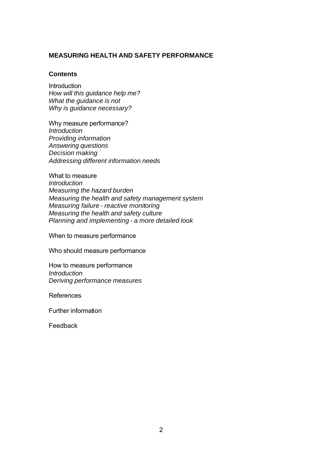## **MEASURING HEALTH AND SAFETY PERFORMANCE**

#### **Contents**

Introduction *How will this guidance help me? What the guidance is not Why is guidance necessary?*

Why measure performance? *Introduction Providing information Answering questions Decision making Addressing different information needs*

What to measure *Introduction Measuring the hazard burden Measuring the health and safety management system Measuring failure - reactive monitoring Measuring the health and safety culture Planning and implementing - a more detailed look*

When to measure performance

Who should measure performance

How to measure performance *Introduction Deriving performance measures*

References

Further information

Feedback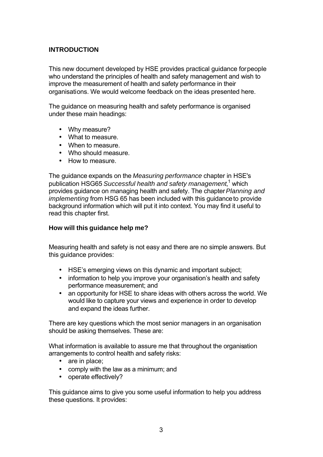# **INTRODUCTION**

This new document developed by HSE provides practical guidance for people who understand the principles of health and safety management and wish to improve the measurement of health and safety performance in their organisations. We would welcome feedback on the ideas presented here.

The guidance on measuring health and safety performance is organised under these main headings:

- Why measure?
- What to measure.
- When to measure.
- Who should measure.
- How to measure.

The guidance expands on the *Measuring performance* chapter in HSE's publication HSG65 Successful health and safety management,<sup>1</sup> which provides guidance on managing health and safety. The chapter *Planning and implementing* from HSG 65 has been included with this guidance to provide background information which will put it into context. You may find it useful to read this chapter first.

## **How will this guidance help me?**

Measuring health and safety is not easy and there are no simple answers. But this guidance provides:

- HSE's emerging views on this dynamic and important subject;
- information to help you improve your organisation's health and safety performance measurement; and
- an opportunity for HSE to share ideas with others across the world. We would like to capture your views and experience in order to develop and expand the ideas further.

There are key questions which the most senior managers in an organisation should be asking themselves. These are:

What information is available to assure me that throughout the organisation arrangements to control health and safety risks:

- are in place;
- comply with the law as a minimum; and
- operate effectively?

This guidance aims to give you some useful information to help you address these questions. It provides: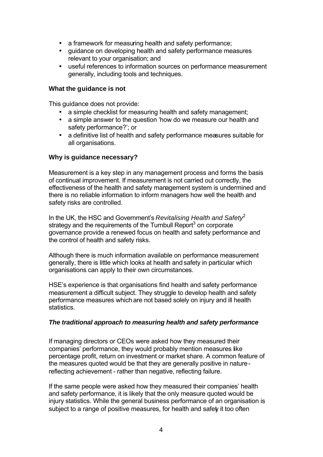- a framework for measuring health and safety performance;
- guidance on developing health and safety performance measures relevant to your organisation; and
- useful references to information sources on performance measurement generally, including tools and techniques.

#### **What the guidance is not**

This guidance does not provide:

- a simple checklist for measuring health and safety management;
- a simple answer to the question 'how do we measure our health and safety performance?'; or
- a definitive list of health and safety performance measures suitable for all organisations.

## **Why is guidance necessary?**

Measurement is a key step in any management process and forms the basis of continual improvement. If measurement is not carried out correctly, the effectiveness of the health and safety management system is undermined and there is no reliable information to inform managers how well the health and safety risks are controlled.

In the UK, the HSC and Government's *Revitalising Health and Safety*<sup>2</sup> strategy and the requirements of the Turnbull Report<sup>3</sup> on corporate governance provide a renewed focus on health and safety performance and the control of health and safety risks.

Although there is much information available on performance measurement generally, there is little which looks at health and safety in particular which organisations can apply to their own circumstances.

HSE's experience is that organisations find health and safety performance measurement a difficult subject. They struggle to develop health and safety performance measures which are not based solely on injury and ill health statistics.

## *The traditional approach to measuring health and safety performance*

If managing directors or CEOs were asked how they measured their companies' performance, they would probably mention measures like percentage profit, return on investment or market share. A common feature of the measures quoted would be that they are generally positive in nature reflecting achievement - rather than negative, reflecting failure.

If the same people were asked how they measured their companies' health and safety performance, it is likely that the only measure quoted would be injury statistics. While the general business performance of an organisation is subject to a range of positive measures, for health and safet it too often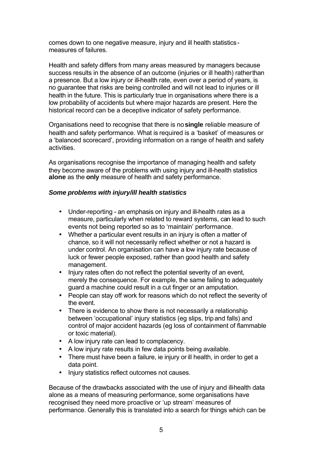comes down to one negative measure, injury and ill health statistics measures of failures.

Health and safety differs from many areas measured by managers because success results in the absence of an outcome (injuries or ill health) rather than a presence. But a low injury or ill-health rate, even over a period of years, is no guarantee that risks are being controlled and will not lead to injuries or ill health in the future. This is particularly true in organisations where there is a low probability of accidents but where major hazards are present. Here the historical record can be a deceptive indicator of safety performance.

Organisations need to recognise that there is no **single** reliable measure of health and safety performance. What is required is a 'basket' of measures or a 'balanced scorecard', providing information on a range of health and safety activities.

As organisations recognise the importance of managing health and safety they become aware of the problems with using injury and ill-health statistics **alone** as the **only** measure of health and safety performance.

## *Some problems with injury/ill health statistics*

- Under-reporting an emphasis on injury and ill-health rates as a measure, particularly when related to reward systems, can lead to such events not being reported so as to 'maintain' performance.
- Whether a particular event results in an injury is often a matter of chance, so it will not necessarily reflect whether or not a hazard is under control. An organisation can have a low injury rate because of luck or fewer people exposed, rather than good health and safety management.
- Injury rates often do not reflect the potential severity of an event, merely the consequence. For example, the same failing to adequately guard a machine could result in a cut finger or an amputation.
- People can stay off work for reasons which do not reflect the severity of the event.
- There is evidence to show there is not necessarily a relationship between 'occupational' injury statistics (eg slips, trip and falls) and control of major accident hazards (eg loss of containment of flammable or toxic material).
- A low injury rate can lead to complacency.
- A low injury rate results in few data points being available.
- There must have been a failure, ie injury or ill health, in order to get a data point.
- Injury statistics reflect outcomes not causes.

Because of the drawbacks associated with the use of injury and ill-health data alone as a means of measuring performance, some organisations have recognised they need more proactive or 'up stream' measures of performance. Generally this is translated into a search for things which can be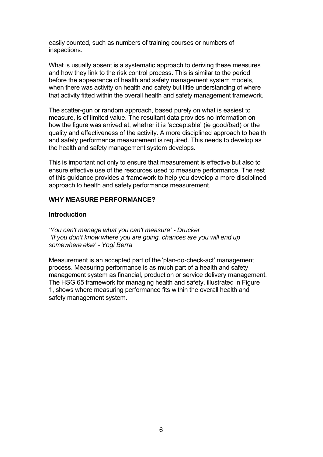easily counted, such as numbers of training courses or numbers of inspections.

What is usually absent is a systematic approach to deriving these measures and how they link to the risk control process. This is similar to the period before the appearance of health and safety management system models, when there was activity on health and safety but little understanding of where that activity fitted within the overall health and safety management framework.

The scatter-gun or random approach, based purely on what is easiest to measure, is of limited value. The resultant data provides no information on how the figure was arrived at, whether it is 'acceptable' (ie good/bad) or the quality and effectiveness of the activity. A more disciplined approach to health and safety performance measurement is required. This needs to develop as the health and safety management system develops.

This is important not only to ensure that measurement is effective but also to ensure effective use of the resources used to measure performance. The rest of this guidance provides a framework to help you develop a more disciplined approach to health and safety performance measurement.

#### **WHY MEASURE PERFORMANCE?**

#### **Introduction**

*'You can't manage what you can't measure' - Drucker 'If you don't know where you are going, chances are you will end up somewhere else' - Yogi Berra*

Measurement is an accepted part of the 'plan-do-check-act' management process. Measuring performance is as much part of a health and safety management system as financial, production or service delivery management. The HSG 65 framework for managing health and safety, illustrated in Figure 1, shows where measuring performance fits within the overall health and safety management system.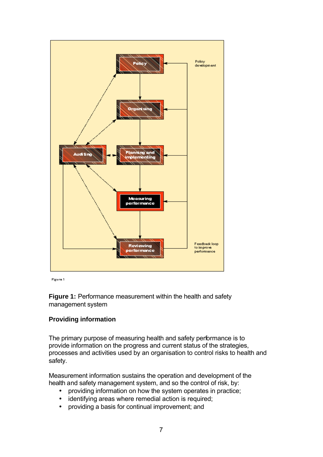

**Figure 1** 

**Figure 1:** Performance measurement within the health and safety management system

## **Providing information**

The primary purpose of measuring health and safety performance is to provide information on the progress and current status of the strategies, processes and activities used by an organisation to control risks to health and safety.

Measurement information sustains the operation and development of the health and safety management system, and so the control of risk, by:

- providing information on how the system operates in practice;
- identifying areas where remedial action is required;
- providing a basis for continual improvement; and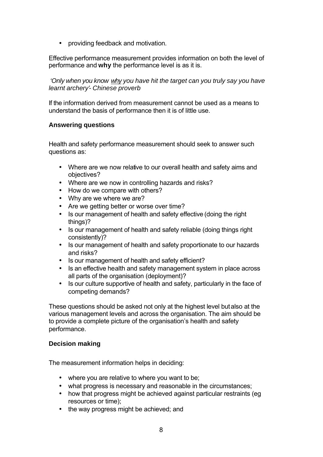• providing feedback and motivation.

Effective performance measurement provides information on both the level of performance and **why** the performance level is as it is.

 *'Only when you know why you have hit the target can you truly say you have learnt archery'- Chinese proverb*

If the information derived from measurement cannot be used as a means to understand the basis of performance then it is of little use.

## **Answering questions**

Health and safety performance measurement should seek to answer such questions as:

- Where are we now relative to our overall health and safety aims and objectives?
- Where are we now in controlling hazards and risks?
- How do we compare with others?
- Why are we where we are?
- Are we getting better or worse over time?
- Is our management of health and safety effective (doing the right things)?
- Is our management of health and safety reliable (doing things right consistently)?
- Is our management of health and safety proportionate to our hazards and risks?
- Is our management of health and safety efficient?
- Is an effective health and safety management system in place across all parts of the organisation (deployment)?
- Is our culture supportive of health and safety, particularly in the face of competing demands?

These questions should be asked not only at the highest level but also at the various management levels and across the organisation. The aim should be to provide a complete picture of the organisation's health and safety performance.

## **Decision making**

The measurement information helps in deciding:

- where you are relative to where you want to be;
- what progress is necessary and reasonable in the circumstances;
- how that progress might be achieved against particular restraints (eg resources or time);
- the way progress might be achieved; and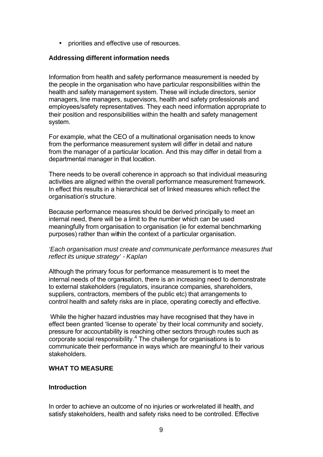• priorities and effective use of resources.

## **Addressing different information needs**

Information from health and safety performance measurement is needed by the people in the organisation who have particular responsibilities within the health and safety management system. These will include directors, senior managers, line managers, supervisors, health and safety professionals and employees/safety representatives. They each need information appropriate to their position and responsibilities within the health and safety management system.

For example, what the CEO of a multinational organisation needs to know from the performance measurement system will differ in detail and nature from the manager of a particular location. And this may differ in detail from a departmental manager in that location.

There needs to be overall coherence in approach so that individual measuring activities are aligned within the overall performance measurement framework. In effect this results in a hierarchical set of linked measures which reflect the organisation's structure.

Because performance measures should be derived principally to meet an internal need, there will be a limit to the number which can be used meaningfully from organisation to organisation (ie for external benchmarking purposes) rather than within the context of a particular organisation.

## *'Each organisation must create and communicate performance measures that reflect its unique strategy' - Kaplan*

Although the primary focus for performance measurement is to meet the internal needs of the organisation, there is an increasing need to demonstrate to external stakeholders (regulators, insurance companies, shareholders, suppliers, contractors, members of the public etc) that arrangements to control health and safety risks are in place, operating correctly and effective.

 While the higher hazard industries may have recognised that they have in effect been granted 'license to operate' by their local community and society, pressure for accountability is reaching other sectors through routes such as corporate social responsibility.<sup>4</sup> The challenge for organisations is to communicate their performance in ways which are meaningful to their various stakeholders.

## **WHAT TO MEASURE**

## **Introduction**

In order to achieve an outcome of no injuries or work-related ill health, and satisfy stakeholders, health and safety risks need to be controlled. Effective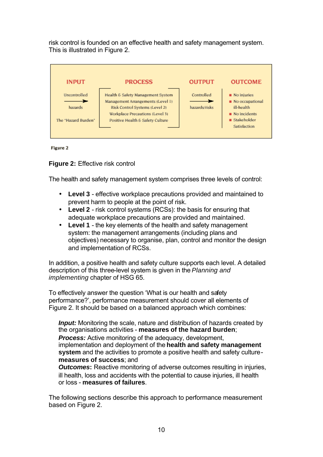risk control is founded on an effective health and safety management system. This is illustrated in Figure 2.

| <b>INPUT</b>            | <b>PROCESS</b>                                                                                           | <b>OUTPUT</b>               | <b>OUTCOME</b>                                                             |
|-------------------------|----------------------------------------------------------------------------------------------------------|-----------------------------|----------------------------------------------------------------------------|
| Uncontrolled<br>hazards | Health & Safety Management System<br>Management Arrangements (Level 1)<br>Risk Control Systems (Level 2) | Controlled<br>hazards/risks | $\blacksquare$ No injuries<br>$\blacksquare$ No occupational<br>ill-health |
| The "Hazard Burden"     | Workplace Precautions (Level 3)<br>Positive Health & Safety Culture                                      |                             | $\blacksquare$ No incidents<br>$\blacksquare$ Stakeholder<br>Satisfaction  |

Figure 2

**Figure 2:** Effective risk control

The health and safety management system comprises three levels of control:

- **Level 3** effective workplace precautions provided and maintained to prevent harm to people at the point of risk.
- **Level 2** risk control systems (RCSs): the basis for ensuring that adequate workplace precautions are provided and maintained.
- **Level 1** the key elements of the health and safety management system: the management arrangements (including plans and objectives) necessary to organise, plan, control and monitor the design and implementation of RCSs.

In addition, a positive health and safety culture supports each level. A detailed description of this three-level system is given in the *Planning and implementing* chapter of HSG 65.

To effectively answer the question 'What is our health and safety performance?', performance measurement should cover all elements of Figure 2. It should be based on a balanced approach which combines:

*Input:* Monitoring the scale, nature and distribution of hazards created by the organisations activities - **measures of the hazard burden**; *Process:* Active monitoring of the adequacy, development, implementation and deployment of the **health and safety management system** and the activities to promote a positive health and safety culture**measures of success**; and

*Outcomes:* Reactive monitoring of adverse outcomes resulting in injuries, ill health, loss and accidents with the potential to cause injuries, ill health or loss - **measures of failures**.

The following sections describe this approach to performance measurement based on Figure 2.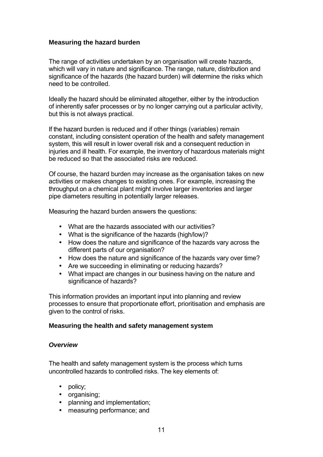## **Measuring the hazard burden**

The range of activities undertaken by an organisation will create hazards, which will vary in nature and significance. The range, nature, distribution and significance of the hazards (the hazard burden) will determine the risks which need to be controlled.

Ideally the hazard should be eliminated altogether, either by the introduction of inherently safer processes or by no longer carrying out a particular activity, but this is not always practical.

If the hazard burden is reduced and if other things (variables) remain constant, including consistent operation of the health and safety management system, this will result in lower overall risk and a consequent reduction in injuries and ill health. For example, the inventory of hazardous materials might be reduced so that the associated risks are reduced.

Of course, the hazard burden may increase as the organisation takes on new activities or makes changes to existing ones. For example, increasing the throughput on a chemical plant might involve larger inventories and larger pipe diameters resulting in potentially larger releases.

Measuring the hazard burden answers the questions:

- What are the hazards associated with our activities?
- What is the significance of the hazards (high/low)?
- How does the nature and significance of the hazards vary across the different parts of our organisation?
- How does the nature and significance of the hazards vary over time?
- Are we succeeding in eliminating or reducing hazards?
- What impact are changes in our business having on the nature and significance of hazards?

This information provides an important input into planning and review processes to ensure that proportionate effort, prioritisation and emphasis are given to the control of risks.

## **Measuring the health and safety management system**

#### *Overview*

The health and safety management system is the process which turns uncontrolled hazards to controlled risks. The key elements of:

- policy;
- organising;
- planning and implementation;
- measuring performance; and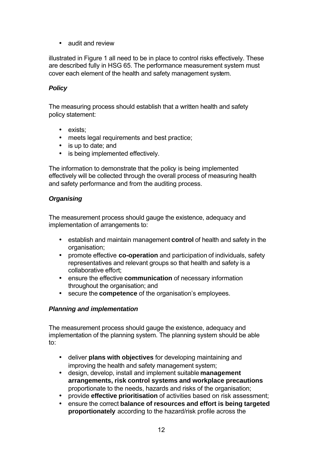• audit and review

illustrated in Figure 1 all need to be in place to control risks effectively. These are described fully in HSG 65. The performance measurement system must cover each element of the health and safety management system.

## *Policy*

The measuring process should establish that a written health and safety policy statement:

- exists;
- meets legal requirements and best practice;
- is up to date; and
- is being implemented effectively.

The information to demonstrate that the policy is being implemented effectively will be collected through the overall process of measuring health and safety performance and from the auditing process.

## *Organising*

The measurement process should gauge the existence, adequacy and implementation of arrangements to:

- establish and maintain management **control** of health and safety in the organisation;
- promote effective **co-operation** and participation of individuals, safety representatives and relevant groups so that health and safety is a collaborative effort;
- ensure the effective **communication** of necessary information throughout the organisation; and
- secure the **competence** of the organisation's employees.

## *Planning and implementation*

The measurement process should gauge the existence, adequacy and implementation of the planning system. The planning system should be able to:

- deliver **plans with objectives** for developing maintaining and improving the health and safety management system;
- design, develop, install and implement suitable **management arrangements, risk control systems and workplace precautions** proportionate to the needs, hazards and risks of the organisation;
- provide **effective prioritisation** of activities based on risk assessment;
- ensure the correct **balance of resources and effort is being targeted proportionately** according to the hazard/risk profile across the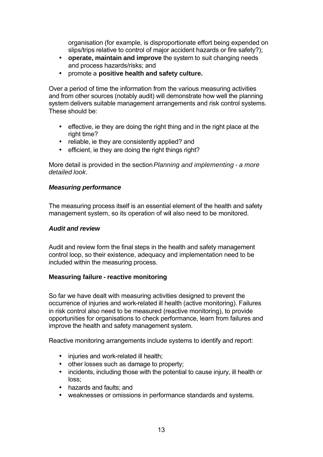organisation (for example, is disproportionate effort being expended on slips/trips relative to control of major accident hazards or fire safety?);

- **operate, maintain and improve** the system to suit changing needs and process hazards/risks; and
- promote a **positive health and safety culture.**

Over a period of time the information from the various measuring activities and from other sources (notably audit) will demonstrate how well the planning system delivers suitable management arrangements and risk control systems. These should be:

- effective, ie they are doing the right thing and in the right place at the right time?
- reliable, ie they are consistently applied? and
- efficient, ie they are doing the right things right?

More detail is provided in the section *Planning and implementing - a more detailed look*.

## *Measuring performance*

The measuring process itself is an essential element of the health and safety management system, so its operation of wil also need to be monitored.

## *Audit and review*

Audit and review form the final steps in the health and safety management control loop, so their existence, adequacy and implementation need to be included within the measuring process.

## **Measuring failure - reactive monitoring**

So far we have dealt with measuring activities designed to prevent the occurrence of injuries and work-related ill health (active monitoring). Failures in risk control also need to be measured (reactive monitoring), to provide opportunities for organisations to check performance, learn from failures and improve the health and safety management system.

Reactive monitoring arrangements include systems to identify and report:

- injuries and work-related ill health;
- other losses such as damage to property;
- incidents, including those with the potential to cause injury, ill health or loss;
- hazards and faults; and
- weaknesses or omissions in performance standards and systems.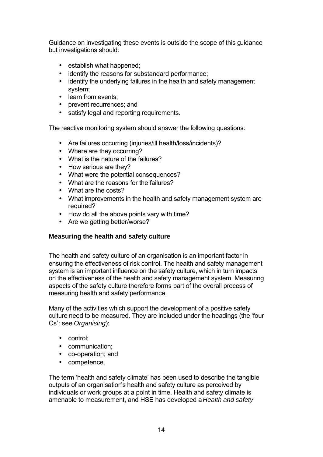Guidance on investigating these events is outside the scope of this guidance but investigations should:

- establish what happened;
- identify the reasons for substandard performance;
- identify the underlying failures in the health and safety management system;
- learn from events;
- prevent recurrences; and
- satisfy legal and reporting requirements.

The reactive monitoring system should answer the following questions:

- Are failures occurring (injuries/ill health/loss/incidents)?
- Where are they occurring?
- What is the nature of the failures?
- How serious are they?
- What were the potential consequences?
- What are the reasons for the failures?
- What are the costs?
- What improvements in the health and safety management system are required?
- How do all the above points vary with time?
- Are we getting better/worse?

## **Measuring the health and safety culture**

The health and safety culture of an organisation is an important factor in ensuring the effectiveness of risk control. The health and safety management system is an important influence on the safety culture, which in turn impacts on the effectiveness of the health and safety management system. Measuring aspects of the safety culture therefore forms part of the overall process of measuring health and safety performance.

Many of the activities which support the development of a positive safety culture need to be measured. They are included under the headings (the 'four Cs': see *Organising*):

- control;
- communication;
- co-operation; and
- competence.

The term 'health and safety climate' has been used to describe the tangible outputs of an organisation's health and safety culture as perceived by individuals or work groups at a point in time. Health and safety climate is amenable to measurement, and HSE has developed a *Health and safety*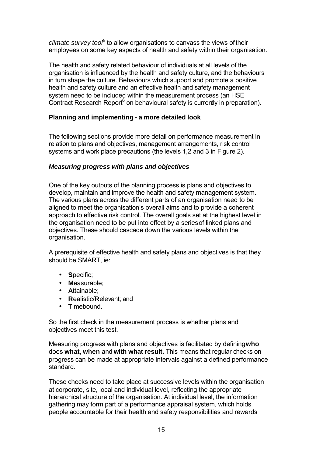climate survey too<sup>p</sup> to allow organisations to canvass the views of their employees on some key aspects of health and safety within their organisation.

The health and safety related behaviour of individuals at all levels of the organisation is influenced by the health and safety culture, and the behaviours in turn shape the culture. Behaviours which support and promote a positive health and safety culture and an effective health and safety management system need to be included within the measurement process (an HSE Contract Research Report<sup>6</sup> on behavioural safety is currently in preparation).

## **Planning and implementing - a more detailed look**

The following sections provide more detail on performance measurement in relation to plans and objectives, management arrangements, risk control systems and work place precautions (the levels 1,2 and 3 in Figure 2).

## *Measuring progress with plans and objectives*

One of the key outputs of the planning process is plans and objectives to develop, maintain and improve the health and safety management system. The various plans across the different parts of an organisation need to be aligned to meet the organisation's overall aims and to provide a coherent approach to effective risk control. The overall goals set at the highest level in the organisation need to be put into effect by a series of linked plans and objectives. These should cascade down the various levels within the organisation.

A prerequisite of effective health and safety plans and objectives is that they should be SMART, ie:

- **S**pecific;
- **M**easurable;
- **A**ttainable;
- **R**ealistic/**R**elevant; and
- **T**imebound.

So the first check in the measurement process is whether plans and objectives meet this test.

Measuring progress with plans and objectives is facilitated by defining **who** does **what**, **when** and **with what result.** This means that regular checks on progress can be made at appropriate intervals against a defined performance standard.

These checks need to take place at successive levels within the organisation at corporate, site, local and individual level, reflecting the appropriate hierarchical structure of the organisation. At individual level, the information gathering may form part of a performance appraisal system, which holds people accountable for their health and safety responsibilities and rewards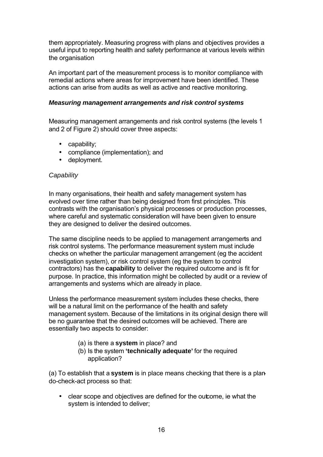them appropriately. Measuring progress with plans and objectives provides a useful input to reporting health and safety performance at various levels within the organisation

An important part of the measurement process is to monitor compliance with remedial actions where areas for improvement have been identified. These actions can arise from audits as well as active and reactive monitoring.

## *Measuring management arrangements and risk control systems*

Measuring management arrangements and risk control systems (the levels 1 and 2 of Figure 2) should cover three aspects:

- capability;
- compliance (implementation); and
- deployment.

## *Capability*

In many organisations, their health and safety management system has evolved over time rather than being designed from first principles. This contrasts with the organisation's physical processes or production processes, where careful and systematic consideration will have been given to ensure they are designed to deliver the desired outcomes.

The same discipline needs to be applied to management arrangements and risk control systems. The performance measurement system must include checks on whether the particular management arrangement (eg the accident investigation system), or risk control system (eg the system to control contractors) has the **capability** to deliver the required outcome and is fit for purpose. In practice, this information might be collected by audit or a review of arrangements and systems which are already in place.

Unless the performance measurement system includes these checks, there will be a natural limit on the performance of the health and safety management system. Because of the limitations in its original design there will be no guarantee that the desired outcomes will be achieved. There are essentially two aspects to consider:

- (a) is there a **system** in place? and
- (b) Is the system **'technically adequate'** for the required application?

(a) To establish that a **system** is in place means checking that there is a plando-check-act process so that:

• clear scope and objectives are defined for the outcome, ie what the system is intended to deliver;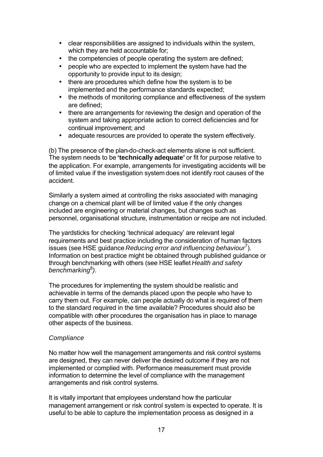- clear responsibilities are assigned to individuals within the system, which they are held accountable for;
- the competencies of people operating the system are defined;
- people who are expected to implement the system have had the opportunity to provide input to its design;
- there are procedures which define how the system is to be implemented and the performance standards expected;
- the methods of monitoring compliance and effectiveness of the system are defined;
- there are arrangements for reviewing the design and operation of the system and taking appropriate action to correct deficiencies and for continual improvement; and
- adequate resources are provided to operate the system effectively.

(b) The presence of the plan-do-check-act elements alone is not sufficient. The system needs to be **'technically adequate'** or fit for purpose relative to the application. For example, arrangements for investigating accidents will be of limited value if the investigation system does not identify root causes of the accident.

Similarly a system aimed at controlling the risks associated with managing change on a chemical plant will be of limited value if the only changes included are engineering or material changes, but changes such as personnel, organisational structure, instrumentation or recipe are not included.

The yardsticks for checking 'technical adequacy' are relevant legal requirements and best practice including the consideration of human factors issues (see HSE guidance *Reducing error and influencing behaviour<sup>7</sup>).* Information on best practice might be obtained through published guidance or through benchmarking with others (see HSE leaflet *Health and safety benchmarking*<sup>8</sup> *)*.

The procedures for implementing the system should be realistic and achievable in terms of the demands placed upon the people who have to carry them out. For example, can people actually do what is required of them to the standard required in the time available? Procedures should also be compatible with other procedures the organisation has in place to manage other aspects of the business.

## *Compliance*

No matter how well the management arrangements and risk control systems are designed, they can never deliver the desired outcome if they are not implemented or complied with. Performance measurement must provide information to determine the level of compliance with the management arrangements and risk control systems.

It is vitally important that employees understand how the particular management arrangement or risk control system is expected to operate. It is useful to be able to capture the implementation process as designed in a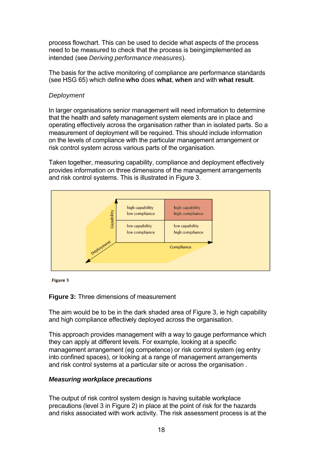process flowchart. This can be used to decide what aspects of the process need to be measured to check that the process is being implemented as intended (see *Deriving performance measures*).

The basis for the active monitoring of compliance are performance standards (see HSG 65) which define **who** does **what**, **when** and with **what result**.

#### *Deployment*

In larger organisations senior management will need information to determine that the health and safety management system elements are in place and operating effectively across the organisation rather than in isolated parts. So a measurement of deployment will be required. This should include information on the levels of compliance with the particular management arrangement or risk control system across various parts of the organisation.

Taken together, measuring capability, compliance and deployment effectively provides information on three dimensions of the management arrangements and risk control systems. This is illustrated in Figure 3.



**Figure 3** 

#### **Figure 3:** Three dimensions of measurement

The aim would be to be in the dark shaded area of Figure 3, ie high capability and high compliance effectively deployed across the organisation.

This approach provides management with a way to gauge performance which they can apply at different levels. For example, looking at a specific management arrangement (eg competence) or risk control system (eg entry into confined spaces), or looking at a range of management arrangements and risk control systems at a particular site or across the organisation .

## *Measuring workplace precautions*

The output of risk control system design is having suitable workplace precautions (level 3 in Figure 2) in place at the point of risk for the hazards and risks associated with work activity. The risk assessment process is at the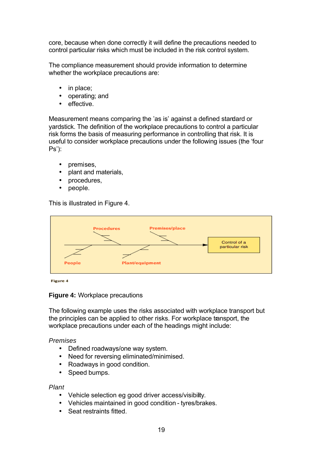core, because when done correctly it will define the precautions needed to control particular risks which must be included in the risk control system.

The compliance measurement should provide information to determine whether the workplace precautions are:

- in place;
- operating; and
- effective.

Measurement means comparing the 'as is' against a defined standard or yardstick. The definition of the workplace precautions to control a particular risk forms the basis of measuring performance in controlling that risk. It is useful to consider workplace precautions under the following issues (the 'four Ps'):

- premises,
- plant and materials,
- procedures,
- people.

This is illustrated in Figure 4.



Figure 4

## **Figure 4:** Workplace precautions

The following example uses the risks associated with workplace transport but the principles can be applied to other risks. For workplace transport, the workplace precautions under each of the headings might include:

## *Premises*

- Defined roadways/one way system.
- Need for reversing eliminated/minimised.
- Roadways in good condition.
- Speed bumps.

#### *Plant*

- Vehicle selection eg good driver access/visibility.
- Vehicles maintained in good condition tyres/brakes.
- Seat restraints fitted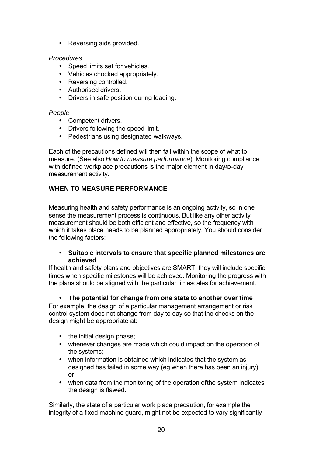• Reversing aids provided.

## *Procedures*

- Speed limits set for vehicles.
- Vehicles chocked appropriately.
- Reversing controlled.
- Authorised drivers.
- Drivers in safe position during loading.

## *People*

- Competent drivers.
- Drivers following the speed limit.
- Pedestrians using designated walkways.

Each of the precautions defined will then fall within the scope of what to measure. (See also *How to measure performance*). Monitoring compliance with defined workplace precautions is the major element in day to-day measurement activity.

# **WHEN TO MEASURE PERFORMANCE**

Measuring health and safety performance is an ongoing activity, so in one sense the measurement process is continuous. But like any other activity measurement should be both efficient and effective, so the frequency with which it takes place needs to be planned appropriately. You should consider the following factors:

## • **Suitable intervals to ensure that specific planned milestones are achieved**

If health and safety plans and objectives are SMART, they will include specific times when specific milestones will be achieved. Monitoring the progress with the plans should be aligned with the particular timescales for achievement.

## • **The potential for change from one state to another over time**

For example, the design of a particular management arrangement or risk control system does not change from day to day so that the checks on the design might be appropriate at:

- the initial design phase;
- whenever changes are made which could impact on the operation of the systems;
- when information is obtained which indicates that the system as designed has failed in some way (eg when there has been an injury); or
- when data from the monitoring of the operation of the system indicates the design is flawed.

Similarly, the state of a particular work place precaution, for example the integrity of a fixed machine guard, might not be expected to vary significantly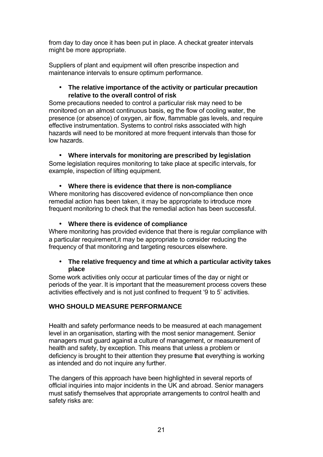from day to day once it has been put in place. A check at greater intervals might be more appropriate.

Suppliers of plant and equipment will often prescribe inspection and maintenance intervals to ensure optimum performance.

## • **The relative importance of the activity or particular precaution relative to the overall control of risk**

Some precautions needed to control a particular risk may need to be monitored on an almost continuous basis, eg the flow of cooling water, the presence (or absence) of oxygen, air flow, flammable gas levels, and require effective instrumentation. Systems to control risks associated with high hazards will need to be monitored at more frequent intervals than those for low hazards.

• **Where intervals for monitoring are prescribed by legislation** Some legislation requires monitoring to take place at specific intervals, for example, inspection of lifting equipment.

# • **Where there is evidence that there is non-compliance**

Where monitoring has discovered evidence of non-compliance then once remedial action has been taken, it may be appropriate to introduce more frequent monitoring to check that the remedial action has been successful.

# • **Where there is evidence of compliance**

Where monitoring has provided evidence that there is regular compliance with a particular requirement,it may be appropriate to consider reducing the frequency of that monitoring and targeting resources elsewhere.

## • **The relative frequency and time at which a particular activity takes place**

Some work activities only occur at particular times of the day or night or periods of the year. It is important that the measurement process covers these activities effectively and is not just confined to frequent '9 to 5' activities.

# **WHO SHOULD MEASURE PERFORMANCE**

Health and safety performance needs to be measured at each management level in an organisation, starting with the most senior management. Senior managers must guard against a culture of management, or measurement of health and safety, by exception. This means that unless a problem or deficiency is brought to their attention they presume that everything is working as intended and do not inquire any further.

The dangers of this approach have been highlighted in several reports of official inquiries into major incidents in the UK and abroad. Senior managers must satisfy themselves that appropriate arrangements to control health and safety risks are: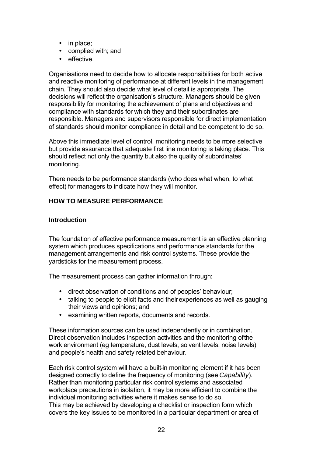- in place;
- complied with; and
- effective.

Organisations need to decide how to allocate responsibilities for both active and reactive monitoring of performance at different levels in the management chain. They should also decide what level of detail is appropriate. The decisions will reflect the organisation's structure. Managers should be given responsibility for monitoring the achievement of plans and objectives and compliance with standards for which they and their subordinates are responsible. Managers and supervisors responsible for direct implementation of standards should monitor compliance in detail and be competent to do so.

Above this immediate level of control, monitoring needs to be more selective but provide assurance that adequate first line monitoring is taking place. This should reflect not only the quantity but also the quality of subordinates' monitoring.

There needs to be performance standards (who does what when, to what effect) for managers to indicate how they will monitor.

# **HOW TO MEASURE PERFORMANCE**

## **Introduction**

The foundation of effective performance measurement is an effective planning system which produces specifications and performance standards for the management arrangements and risk control systems. These provide the yardsticks for the measurement process.

The measurement process can gather information through:

- direct observation of conditions and of peoples' behaviour;
- talking to people to elicit facts and their experiences as well as gauging their views and opinions; and
- examining written reports, documents and records.

These information sources can be used independently or in combination. Direct observation includes inspection activities and the monitoring of the work environment (eg temperature, dust levels, solvent levels, noise levels) and people's health and safety related behaviour.

Each risk control system will have a built-in monitoring element if it has been designed correctly to define the frequency of monitoring (see *Capability*). Rather than monitoring particular risk control systems and associated workplace precautions in isolation, it may be more efficient to combine the individual monitoring activities where it makes sense to do so. This may be achieved by developing a checklist or inspection form which covers the key issues to be monitored in a particular department or area of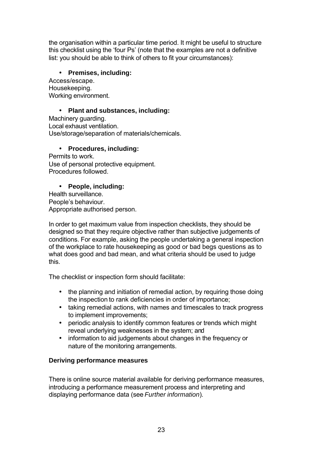the organisation within a particular time period. It might be useful to structure this checklist using the 'four Ps' (note that the examples are not a definitive list: you should be able to think of others to fit your circumstances):

# • **Premises, including:**

Access/escape. Housekeeping. Working environment.

# • **Plant and substances, including:**

Machinery guarding. Local exhaust ventilation. Use/storage/separation of materials/chemicals.

## • **Procedures, including:**

Permits to work. Use of personal protective equipment. Procedures followed.

# • **People, including:**

Health surveillance. People's behaviour. Appropriate authorised person.

In order to get maximum value from inspection checklists, they should be designed so that they require objective rather than subjective judgements of conditions. For example, asking the people undertaking a general inspection of the workplace to rate housekeeping as good or bad begs questions as to what does good and bad mean, and what criteria should be used to judge this.

The checklist or inspection form should facilitate:

- the planning and initiation of remedial action, by requiring those doing the inspection to rank deficiencies in order of importance;
- taking remedial actions, with names and timescales to track progress to implement improvements;
- periodic analysis to identify common features or trends which might reveal underlying weaknesses in the system; and
- information to aid judgements about changes in the frequency or nature of the monitoring arrangements.

# **Deriving performance measures**

There is online source material available for deriving performance measures, introducing a performance measurement process and interpreting and displaying performance data (see *Further information*).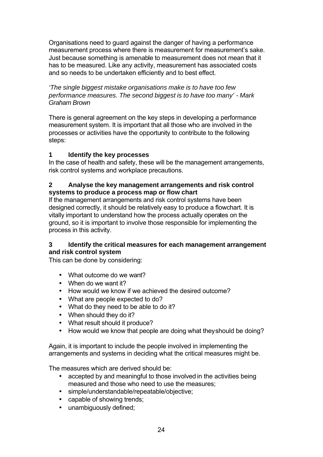Organisations need to guard against the danger of having a performance measurement process where there is measurement for measurement's sake. Just because something is amenable to measurement does not mean that it has to be measured. Like any activity, measurement has associated costs and so needs to be undertaken efficiently and to best effect.

*'The single biggest mistake organisations make is to have too few performance measures. The second biggest is to have too many' - Mark Graham Brown*

There is general agreement on the key steps in developing a performance measurement system. It is important that all those who are involved in the processes or activities have the opportunity to contribute to the following steps:

# **1 Identify the key processes**

In the case of health and safety, these will be the management arrangements, risk control systems and workplace precautions.

# **2 Analyse the key management arrangements and risk control systems to produce a process map or flow chart**

If the management arrangements and risk control systems have been designed correctly, it should be relatively easy to produce a flowchart. It is vitally important to understand how the process actually operates on the ground, so it is important to involve those responsible for implementing the process in this activity.

## **3 Identify the critical measures for each management arrangement and risk control system**

This can be done by considering:

- What outcome do we want?
- When do we want it?
- How would we know if we achieved the desired outcome?
- What are people expected to do?
- What do they need to be able to do it?
- When should they do it?
- What result should it produce?
- How would we know that people are doing what they should be doing?

Again, it is important to include the people involved in implementing the arrangements and systems in deciding what the critical measures might be.

The measures which are derived should be:

- accepted by and meaningful to those involved in the activities being measured and those who need to use the measures;
- simple/understandable/repeatable/objective;
- capable of showing trends;
- unambiguously defined;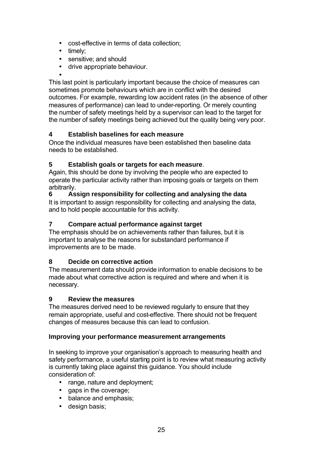- cost-effective in terms of data collection;
- timely;
- sensitive: and should
- drive appropriate behaviour.
- •

This last point is particularly important because the choice of measures can sometimes promote behaviours which are in conflict with the desired outcomes. For example, rewarding low accident rates (in the absence of other measures of performance) can lead to under-reporting. Or merely counting the number of safety meetings held by a supervisor can lead to the target for the number of safety meetings being achieved but the quality being very poor.

# **4 Establish baselines for each measure**

Once the individual measures have been established then baseline data needs to be established.

# **5 Establish goals or targets for each measure**.

Again, this should be done by involving the people who are expected to operate the particular activity rather than imposing goals or targets on them arbitrarily.

**6 Assign responsibility for collecting and analysing the data** It is important to assign responsibility for collecting and analysing the data, and to hold people accountable for this activity.

# **7 Compare actual performance against target**

The emphasis should be on achievements rather than failures, but it is important to analyse the reasons for substandard performance if improvements are to be made.

## **8 Decide on corrective action**

The measurement data should provide information to enable decisions to be made about what corrective action is required and where and when it is necessary.

## **9 Review the measures**

The measures derived need to be reviewed regularly to ensure that they remain appropriate, useful and cost-effective. There should not be frequent changes of measures because this can lead to confusion.

## **Improving your performance measurement arrangements**

In seeking to improve your organisation's approach to measuring health and safety performance, a useful starting point is to review what measuring activity is currently taking place against this guidance. You should include consideration of:

- range, nature and deployment;
- gaps in the coverage;
- balance and emphasis;
- design basis;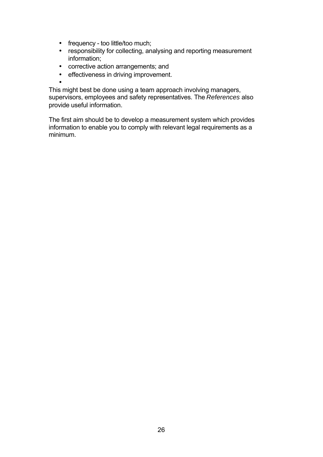- frequency too little/too much;
- responsibility for collecting, analysing and reporting measurement information;
- corrective action arrangements; and
- effectiveness in driving improvement.

• This might best be done using a team approach involving managers, supervisors, employees and safety representatives. The *References* also provide useful information.

The first aim should be to develop a measurement system which provides information to enable you to comply with relevant legal requirements as a minimum.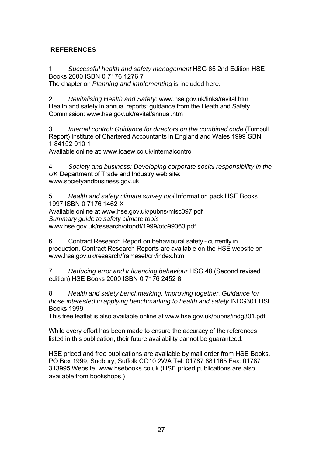# **REFERENCES**

1 *Successful health and safety management* HSG 65 2nd Edition HSE Books 2000 ISBN 0 7176 1276 7

The chapter on *Planning and implementing* is included here.

2 *Revitalising Health and Safety*: www.hse.gov.uk/links/revital.htm Health and safety in annual reports: guidance from the Health and Safety Commission: www.hse.gov.uk/revital/annual.htm

3 *Internal control: Guidance for directors on the combined code* (Turnbull Report) Institute of Chartered Accountants in England and Wales 1999 SBN 1 84152 010 1

Available online at: www.icaew.co.uk/internalcontrol

4 *Society and business: Developing corporate social responsibility in the UK* Department of Trade and Industry web site: www.societyandbusiness.gov.uk

5 *Health and safety climate survey tool* Information pack HSE Books 1997 ISBN 0 7176 1462 X Available online at www.hse.gov.uk/pubns/misc097.pdf *Summary guide to safety climate tools*  www.hse.gov.uk/research/otopdf/1999/oto99063.pdf

6 Contract Research Report on behavioural safety - currently in production. Contract Research Reports are available on the HSE website on www.hse.gov.uk/research/frameset/crr/index.htm

7 *Reducing error and influencing behaviour* HSG 48 (Second revised edition) HSE Books 2000 ISBN 0 7176 2452 8

8 *Health and safety benchmarking. Improving together. Guidance for those interested in applying benchmarking to health and safety* INDG301 HSE Books 1999

This free leaflet is also available online at www.hse.gov.uk/pubns/indg301.pdf

While every effort has been made to ensure the accuracy of the references listed in this publication, their future availability cannot be guaranteed.

HSE priced and free publications are available by mail order from HSE Books, PO Box 1999, Sudbury, Suffolk CO10 2WA Tel: 01787 881165 Fax: 01787 313995 Website: www.hsebooks.co.uk (HSE priced publications are also available from bookshops.)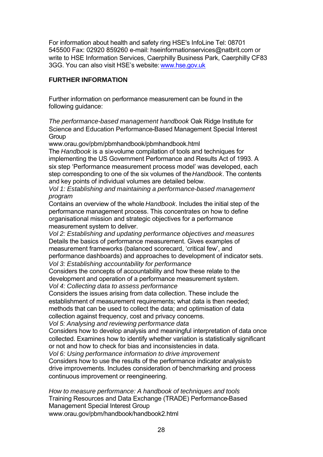For information about health and safety ring HSE's InfoLine Tel: 08701 545500 Fax: 02920 859260 e-mail: hseinformationservices@natbrit.com or write to HSE Information Services, Caerphilly Business Park, Caerphilly CF83 3GG. You can also visit HSE's websit[e: www.hse.gov.uk](http://www.hse.gov.uk/index.htm)

## **FURTHER INFORMATION**

Further information on performance measurement can be found in the following guidance:

*The performance-based management handbook* Oak Ridge Institute for Science and Education Performance-Based Management Special Interest **Group** 

www.orau.gov/pbm/pbmhandbook/pbmhandbook.html

The *Handbook* is a six-volume compilation of tools and techniques for implementing the US Government Performance and Results Act of 1993. A six step 'Performance measurement process model' was developed, each step corresponding to one of the six volumes of the *Handbook*. The contents and key points of individual volumes are detailed below.

*Vol 1: Establishing and maintaining a performance-based management program*

Contains an overview of the whole *Handbook*. Includes the initial step of the performance management process. This concentrates on how to define organisational mission and strategic objectives for a performance measurement system to deliver.

*Vol 2: Establishing and updating performance objectives and measures* Details the basics of performance measurement. Gives examples of measurement frameworks (balanced scorecard, 'critical few', and performance dashboards) and approaches to development of indicator sets. *Vol 3: Establishing accountability for performance*

Considers the concepts of accountability and how these relate to the development and operation of a performance measurement system. *Vol 4: Collecting data to assess performance*

Considers the issues arising from data collection. These include the establishment of measurement requirements; what data is then needed; methods that can be used to collect the data; and optimisation of data collection against frequency, cost and privacy concerns.

*Vol 5: Analysing and reviewing performance data*

Considers how to develop analysis and meaningful interpretation of data once collected. Examines how to identify whether variation is statistically significant or not and how to check for bias and inconsistencies in data.

*Vol 6: Using performance information to drive improvement* Considers how to use the results of the performance indicator analysis to drive improvements. Includes consideration of benchmarking and process continuous improvement or reengineering.

*How to measure performance: A handbook of techniques and tools* Training Resources and Data Exchange (TRADE) Performance-Based Management Special Interest Group www.orau.gov/pbm/handbook/handbook2.html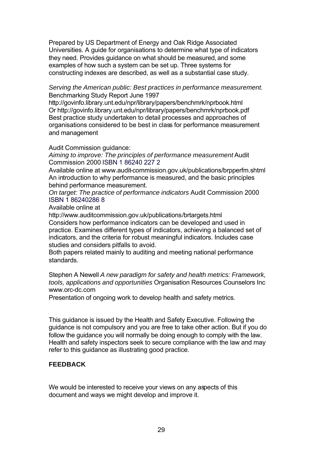Prepared by US Department of Energy and Oak Ridge Associated Universities. A guide for organisations to determine what type of indicators they need. Provides guidance on what should be measured, and some examples of how such a system can be set up. Three systems for constructing indexes are described, as well as a substantial case study.

*Serving the American public: Best practices in performance measurement.*  Benchmarking Study Report June 1997

http://govinfo.library.unt.edu/npr/library/papers/benchmrk/nprbook.html Or http://govinfo.library.unt.edu/npr/library/papers/benchmrk/nprbook.pdf Best practice study undertaken to detail processes and approaches of organisations considered to be best in class for performance measurement and management

Audit Commission guidance:

*Aiming to improve: The principles of performance measurement* Audit Commission 2000 ISBN 1 86240 227 2

Available online at www.audit-commission.gov.uk/publications/brpperfm.shtml An introduction to why performance is measured, and the basic principles behind performance measurement.

*On target: The practice of performance indicators* Audit Commission 2000 ISBN 1 86240286 8

Available online at

http://www.auditcommission.gov.uk/publications/brtargets.html Considers how performance indicators can be developed and used in practice. Examines different types of indicators, achieving a balanced set of indicators, and the criteria for robust meaningful indicators. Includes case studies and considers pitfalls to avoid.

Both papers related mainly to auditing and meeting national performance standards.

Stephen A Newell *A new paradigm for safety and health metrics: Framework, tools, applications and opportunities* Organisation Resources Counselors Inc www.orc-dc.com

Presentation of ongoing work to develop health and safety metrics.

This guidance is issued by the Health and Safety Executive. Following the guidance is not compulsory and you are free to take other action. But if you do follow the guidance you will normally be doing enough to comply with the law. Health and safety inspectors seek to secure compliance with the law and may refer to this guidance as illustrating good practice.

## **FEEDBACK**

We would be interested to receive your views on any aspects of this document and ways we might develop and improve it.